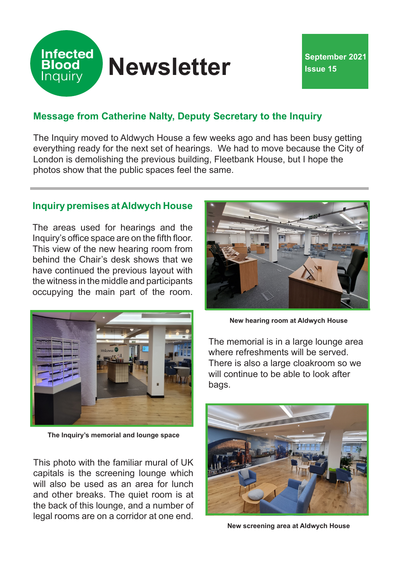

# **Message from Catherine Nalty, Deputy Secretary to the Inquiry**

The Inquiry moved to Aldwych House a few weeks ago and has been busy getting everything ready for the next set of hearings. We had to move because the City of London is demolishing the previous building, Fleetbank House, but I hope the photos show that the public spaces feel the same.

## **Inquiry premises at Aldwych House**

The areas used for hearings and the Inquiry's office space are on the fifth floor. This view of the new hearing room from behind the Chair's desk shows that we have continued the previous layout with the witness in the middle and participants occupying the main part of the room.



**The Inquiry's memorial and lounge space**

This photo with the familiar mural of UK capitals is the screening lounge which will also be used as an area for lunch and other breaks. The quiet room is at the back of this lounge, and a number of legal rooms are on a corridor at one end.



**New hearing room at Aldwych House**

The memorial is in a large lounge area where refreshments will be served. There is also a large cloakroom so we will continue to be able to look after bags.



**New screening area at Aldwych House**